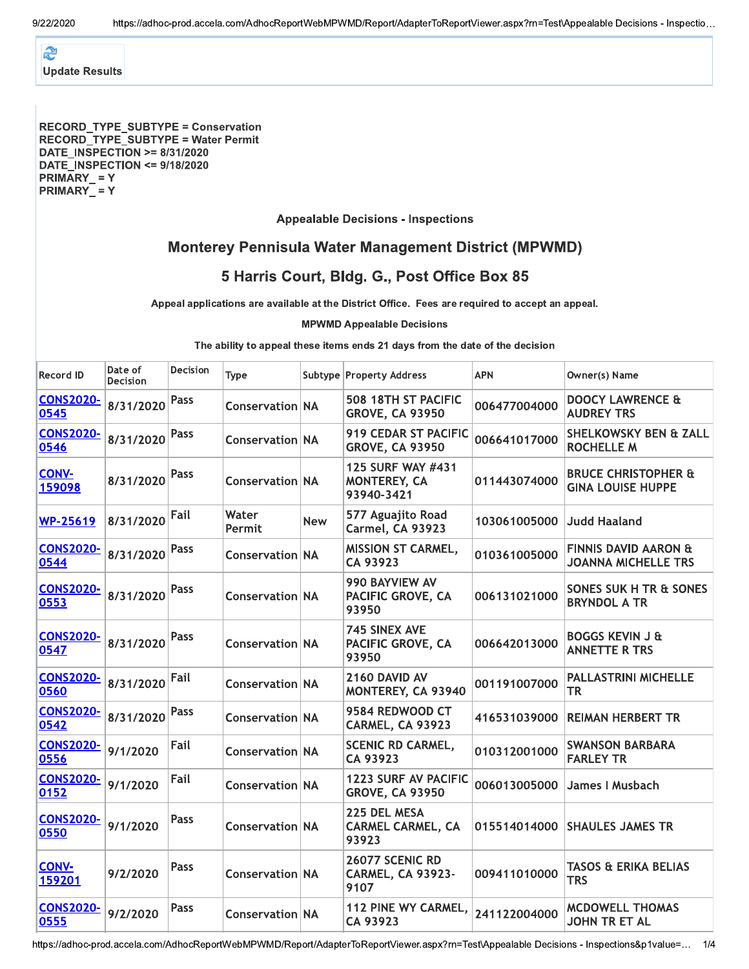æ **Update Results** 

#### RECORD\_TYPE\_SUBTYPE = Conservation RECORD\_TYPE\_SUBTYPE = Water Permit **DATE INSPECTION >= 8/31/2020** DATE INSPECTION <= 9/18/2020 PRIMARY = Y PRIMARY\_=Y

### **Appealable Decisions - Inspections**

# **Monterey Pennisula Water Management District (MPWMD)**

# 5 Harris Court, Bldg. G., Post Office Box 85

Appeal applications are available at the District Office. Fees are required to accept an appeal.

#### **MPWMD Appealable Decisions**

The ability to appeal these items ends 21 days from the date of the decision

| <b>Record ID</b>         | Date of<br><b>Decision</b> | <b>Decision</b> | <b>Type</b>            |            | Subtype Property Address                              | <b>APN</b>   | Owner(s) Name                                                 |
|--------------------------|----------------------------|-----------------|------------------------|------------|-------------------------------------------------------|--------------|---------------------------------------------------------------|
| <b>CONS2020-</b><br>0545 | 8/31/2020                  | Pass            | <b>Conservation NA</b> |            | 508 18TH ST PACIFIC<br><b>GROVE, CA 93950</b>         | 006477004000 | <b>DOOCY LAWRENCE &amp;</b><br><b>AUDREY TRS</b>              |
| <b>CONS2020-</b><br>0546 | 8/31/2020                  | Pass            | <b>Conservation NA</b> |            | <b>919 CEDAR ST PACIFIC</b><br><b>GROVE, CA 93950</b> | 006641017000 | <b>SHELKOWSKY BEN &amp; ZALL</b><br><b>ROCHELLE M</b>         |
| <b>CONV-</b><br>159098   | 8/31/2020                  | Pass            | <b>Conservation NA</b> |            | 125 SURF WAY #431<br>MONTEREY, CA<br>93940-3421       | 011443074000 | <b>BRUCE CHRISTOPHER &amp;</b><br><b>GINA LOUISE HUPPE</b>    |
| <b>WP-25619</b>          | 8/31/2020                  | Fail            | Water<br>Permit        | <b>New</b> | 577 Aguajito Road<br>Carmel, CA 93923                 | 103061005000 | <b>Judd Haaland</b>                                           |
| <b>CONS2020-</b><br>0544 | 8/31/2020                  | Pass            | <b>Conservation NA</b> |            | MISSION ST CARMEL,<br>CA 93923                        | 010361005000 | <b>FINNIS DAVID AARON &amp;</b><br><b>JOANNA MICHELLE TRS</b> |
| <b>CONS2020-</b><br>0553 | 8/31/2020                  | Pass            | <b>Conservation NA</b> |            | 990 BAYVIEW AV<br>PACIFIC GROVE, CA<br>93950          | 006131021000 | SONES SUK H TR & SONES<br><b>BRYNDOL A TR</b>                 |
| <b>CONS2020-</b><br>0547 | 8/31/2020                  | Pass            | <b>Conservation NA</b> |            | <b>745 SINEX AVE</b><br>PACIFIC GROVE, CA<br>93950    | 006642013000 | <b>BOGGS KEVIN J &amp;</b><br><b>ANNETTE R TRS</b>            |
| <b>CONS2020-</b><br>0560 | 8/31/2020                  | Fail            | <b>Conservation NA</b> |            | 2160 DAVID AV<br>MONTEREY, CA 93940                   | 001191007000 | <b>PALLASTRINI MICHELLE</b><br>TR                             |
| <b>CONS2020-</b><br>0542 | 8/31/2020                  | Pass            | <b>Conservation NA</b> |            | 9584 REDWOOD CT<br>CARMEL, CA 93923                   | 416531039000 | <b>REIMAN HERBERT TR</b>                                      |
| <b>CONS2020-</b><br>0556 | 9/1/2020                   | Fail            | <b>Conservation NA</b> |            | <b>SCENIC RD CARMEL,</b><br>CA 93923                  | 010312001000 | <b>SWANSON BARBARA</b><br><b>FARLEY TR</b>                    |
| <b>CONS2020-</b><br>0152 | 9/1/2020                   | Fail            | <b>Conservation NA</b> |            | 1223 SURF AV PACIFIC<br><b>GROVE, CA 93950</b>        | 006013005000 | James I Musbach                                               |
| <b>CONS2020-</b><br>0550 | 9/1/2020                   | Pass            | <b>Conservation NA</b> |            | 225 DEL MESA<br><b>CARMEL CARMEL, CA</b><br>93923     | 015514014000 | <b>SHAULES JAMES TR</b>                                       |
| <b>CONV-</b><br>159201   | 9/2/2020                   | Pass            | <b>Conservation NA</b> |            | 26077 SCENIC RD<br><b>CARMEL, CA 93923-</b><br>9107   | 009411010000 | <b>TASOS &amp; ERIKA BELIAS</b><br><b>TRS</b>                 |
| <b>CONS2020-</b><br>0555 | 9/2/2020                   | Pass            | <b>Conservation NA</b> |            | 112 PINE WY CARMEL,<br>CA 93923                       | 241122004000 | <b>MCDOWELL THOMAS</b><br>JOHN TR ET AL                       |

https://adhoc-prod.accela.com/AdhocReportWebMPWMD/Report/AdapterToReportViewer.aspx?rn=Test\Appealable Decisions - Inspections&p1value=... 1/4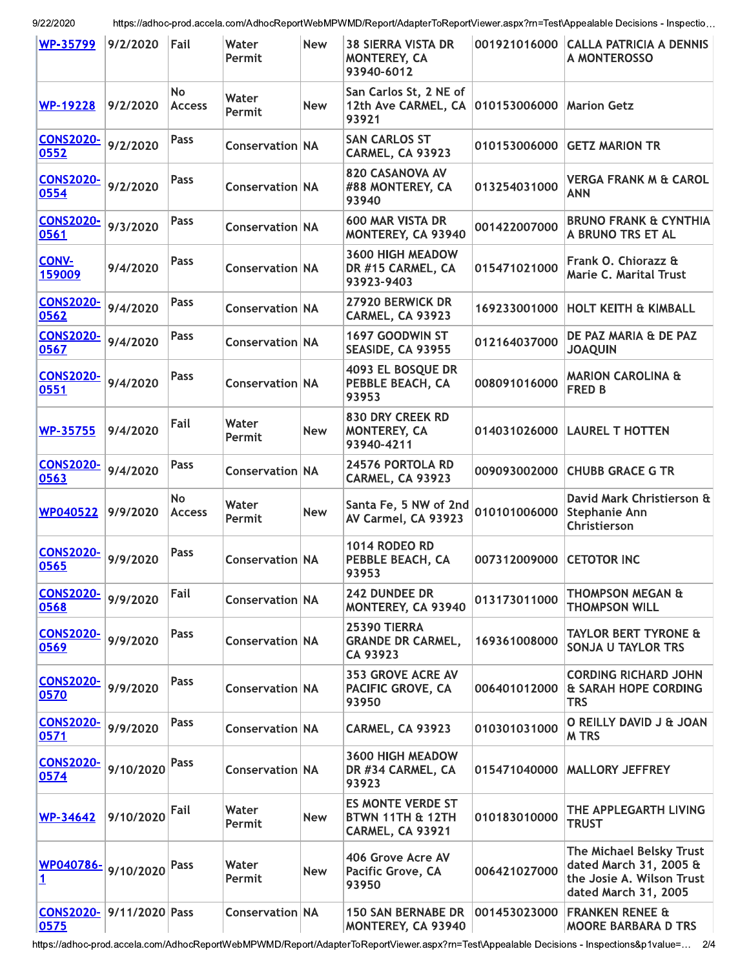9/22/2020

https://adhoc-prod.accela.com/AdhocReportWebMPWMD/Report/AdapterToReportViewer.aspx?rn=Test\Appealable Decisions - Inspectio...

| <b>WP-35799</b>                  | 9/2/2020  | Fail                       | Water<br>Permit        | New        | <b>38 SIERRA VISTA DR</b><br>MONTEREY, CA<br>93940-6012          | 001921016000 | <b>CALLA PATRICIA A DENNIS</b><br>A MONTEROSSO                                                          |
|----------------------------------|-----------|----------------------------|------------------------|------------|------------------------------------------------------------------|--------------|---------------------------------------------------------------------------------------------------------|
| <b>WP-19228</b>                  | 9/2/2020  | <b>No</b><br><b>Access</b> | Water<br>Permit        | <b>New</b> | San Carlos St, 2 NE of<br>12th Ave CARMEL, CA<br>93921           | 010153006000 | <b>Marion Getz</b>                                                                                      |
| <b>CONS2020-</b><br>0552         | 9/2/2020  | <b>Pass</b>                | <b>Conservation NA</b> |            | <b>SAN CARLOS ST</b><br>CARMEL, CA 93923                         | 010153006000 | <b>GETZ MARION TR</b>                                                                                   |
| <b>CONS2020-</b><br>0554         | 9/2/2020  | Pass                       | <b>Conservation NA</b> |            | <b>820 CASANOVA AV</b><br>#88 MONTEREY, CA<br>93940              | 013254031000 | <b>VERGA FRANK M &amp; CAROL</b><br><b>ANN</b>                                                          |
| <b>CONS2020-</b><br>0561         | 9/3/2020  | Pass                       | <b>Conservation NA</b> |            | <b>600 MAR VISTA DR</b><br>MONTEREY, CA 93940                    | 001422007000 | <b>BRUNO FRANK &amp; CYNTHIA</b><br>A BRUNO TRS ET AL                                                   |
| CONV-<br>159009                  | 9/4/2020  | Pass                       | <b>Conservation NA</b> |            | 3600 HIGH MEADOW<br>DR #15 CARMEL, CA<br>93923-9403              | 015471021000 | Frank O. Chiorazz &<br>Marie C. Marital Trust                                                           |
| <b>CONS2020-</b><br>0562         | 9/4/2020  | <b>Pass</b>                | <b>Conservation NA</b> |            | 27920 BERWICK DR<br>CARMEL, CA 93923                             | 169233001000 | <b>HOLT KEITH &amp; KIMBALL</b>                                                                         |
| <b>CONS2020-</b><br>0567         | 9/4/2020  | Pass                       | <b>Conservation NA</b> |            | 1697 GOODWIN ST<br>SEASIDE, CA 93955                             | 012164037000 | DE PAZ MARIA & DE PAZ<br><b>JOAQUIN</b>                                                                 |
| <b>CONS2020-</b><br>0551         | 9/4/2020  | Pass                       | <b>Conservation NA</b> |            | 4093 EL BOSQUE DR<br>PEBBLE BEACH, CA<br>93953                   | 008091016000 | <b>MARION CAROLINA &amp;</b><br><b>FRED B</b>                                                           |
| <b>WP-35755</b>                  | 9/4/2020  | Fail                       | Water<br>Permit        | <b>New</b> | 830 DRY CREEK RD<br>MONTEREY, CA<br>93940-4211                   | 014031026000 | <b>LAUREL T HOTTEN</b>                                                                                  |
| <b>CONS2020-</b><br>0563         | 9/4/2020  | <b>Pass</b>                | Conservation NA        |            | 24576 PORTOLA RD<br>CARMEL, CA 93923                             | 009093002000 | <b>CHUBB GRACE G TR</b>                                                                                 |
| <b>WP040522</b>                  | 9/9/2020  | <b>No</b><br><b>Access</b> | Water<br>Permit        | <b>New</b> | Santa Fe, 5 NW of 2nd<br>AV Carmel, CA 93923                     | 010101006000 | David Mark Christierson &<br><b>Stephanie Ann</b><br>Christierson                                       |
| <b>CONS2020-</b><br>0565         | 9/9/2020  | Pass                       | <b>Conservation NA</b> |            | <b>1014 RODEO RD</b><br>PEBBLE BEACH, CA<br>93953                | 007312009000 | <b>CETOTOR INC</b>                                                                                      |
| <b>CONS2020-</b><br>0568         | 9/9/2020  | Fail                       | Conservation NA        |            | <b>242 DUNDEE DR</b><br>MONTEREY, CA 93940                       | 013173011000 | <b>THOMPSON MEGAN &amp;</b><br><b>THOMPSON WILL</b>                                                     |
| <b>CONS2020-</b><br>0569         | 9/9/2020  | Pass                       | <b>Conservation NA</b> |            | <b>25390 TIERRA</b><br><b>GRANDE DR CARMEL,</b><br>CA 93923      | 169361008000 | <b>TAYLOR BERT TYRONE &amp;</b><br>SONJA U TAYLOR TRS                                                   |
| <b>CONS2020-</b><br>0570         | 9/9/2020  | <b>Pass</b>                | <b>Conservation NA</b> |            | <b>353 GROVE ACRE AV</b><br>PACIFIC GROVE, CA<br>93950           | 006401012000 | <b>CORDING RICHARD JOHN</b><br>& SARAH HOPE CORDING<br><b>TRS</b>                                       |
| <b>CONS2020-</b><br>0571         | 9/9/2020  | <b>Pass</b>                | Conservation NA        |            | CARMEL, CA 93923                                                 | 010301031000 | O REILLY DAVID J & JOAN<br><b>MTRS</b>                                                                  |
| <b>CONS2020-</b><br>0574         | 9/10/2020 | Pass                       | <b>Conservation NA</b> |            | <b>3600 HIGH MEADOW</b><br>DR #34 CARMEL, CA<br>93923            | 015471040000 | <b>MALLORY JEFFREY</b>                                                                                  |
| WP-34642                         | 9/10/2020 | Fail                       | Water<br>Permit        | <b>New</b> | <b>ES MONTE VERDE ST</b><br>BTWN 11TH & 12TH<br>CARMEL, CA 93921 | 010183010000 | THE APPLEGARTH LIVING<br><b>TRUST</b>                                                                   |
| WP040786-<br>1                   | 9/10/2020 | Pass                       | Water<br>Permit        | <b>New</b> | 406 Grove Acre AV<br>Pacific Grove, CA<br>93950                  | 006421027000 | The Michael Belsky Trust<br>dated March 31, 2005 &<br>the Josie A. Wilson Trust<br>dated March 31, 2005 |
| CONS2020- 9/11/2020 Pass<br>0575 |           |                            | <b>Conservation NA</b> |            | <b>150 SAN BERNABE DR</b><br>MONTEREY, CA 93940                  | 001453023000 | <b>FRANKEN RENEE &amp;</b><br><b>MOORE BARBARA D TRS</b>                                                |

https://adhoc-prod.accela.com/AdhocReportWebMPWMD/Report/AdapterToReportViewer.aspx?rn=Test\Appealable Decisions - Inspections&p1value=... 2/4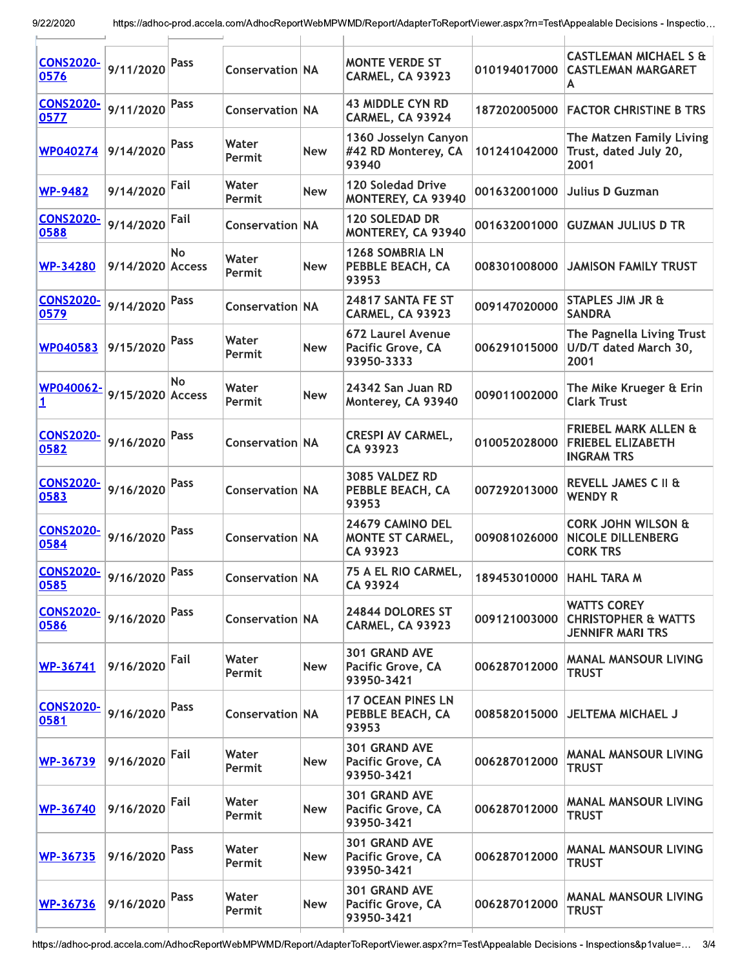| <b>CONS2020-</b><br>0576 | 9/11/2020        | Pass | <b>Conservation NA</b> |            | <b>MONTE VERDE ST</b><br>CARMEL, CA 93923             | 010194017000               | <b>CASTLEMAN MICHAEL S &amp;</b><br><b>CASTLEMAN MARGARET</b><br>А               |
|--------------------------|------------------|------|------------------------|------------|-------------------------------------------------------|----------------------------|----------------------------------------------------------------------------------|
| <b>CONS2020-</b><br>0577 | 9/11/2020        | Pass | <b>Conservation NA</b> |            | <b>43 MIDDLE CYN RD</b><br>CARMEL, CA 93924           | 187202005000               | <b>FACTOR CHRISTINE B TRS</b>                                                    |
| <b>WP040274</b>          | 9/14/2020        | Pass | Water<br>Permit        | <b>New</b> | 1360 Josselyn Canyon<br>#42 RD Monterey, CA<br>93940  | 101241042000               | The Matzen Family Living<br>Trust, dated July 20,<br>2001                        |
| <b>WP-9482</b>           | 9/14/2020        | Fail | Water<br>Permit        | <b>New</b> | 120 Soledad Drive<br>MONTEREY, CA 93940               | 001632001000               | <b>Julius D Guzman</b>                                                           |
| <b>CONS2020-</b><br>0588 | 9/14/2020        | Fail | <b>Conservation NA</b> |            | <b>120 SOLEDAD DR</b><br>MONTEREY, CA 93940           | 001632001000               | <b>GUZMAN JULIUS D TR</b>                                                        |
| <b>WP-34280</b>          | 9/14/2020 Access | No   | Water<br>Permit        | <b>New</b> | <b>1268 SOMBRIA LN</b><br>PEBBLE BEACH, CA<br>93953   | 008301008000               | <b>JAMISON FAMILY TRUST</b>                                                      |
| <b>CONS2020-</b><br>0579 | 9/14/2020        | Pass | <b>Conservation NA</b> |            | 24817 SANTA FE ST<br>CARMEL, CA 93923                 | 009147020000               | <b>STAPLES JIM JR &amp;</b><br><b>SANDRA</b>                                     |
| WP040583                 | 9/15/2020        | Pass | Water<br>Permit        | <b>New</b> | 672 Laurel Avenue<br>Pacific Grove, CA<br>93950-3333  | 006291015000               | The Pagnella Living Trust<br>U/D/T dated March 30,<br>2001                       |
| WP040062-<br>1           | 9/15/2020 Access | No   | Water<br>Permit        | <b>New</b> | 24342 San Juan RD<br>Monterey, CA 93940               | 009011002000               | The Mike Krueger & Erin<br><b>Clark Trust</b>                                    |
| <b>CONS2020-</b><br>0582 | 9/16/2020        | Pass | <b>Conservation NA</b> |            | <b>CRESPI AV CARMEL,</b><br>CA 93923                  | 010052028000               | <b>FRIEBEL MARK ALLEN &amp;</b><br><b>FRIEBEL ELIZABETH</b><br><b>INGRAM TRS</b> |
| <b>CONS2020-</b><br>0583 | 9/16/2020        | Pass | <b>Conservation NA</b> |            | 3085 VALDEZ RD<br>PEBBLE BEACH, CA<br>93953           | 007292013000               | REVELL JAMES C II &<br><b>WENDY R</b>                                            |
| <b>CONS2020-</b><br>0584 | 9/16/2020        | Pass | <b>Conservation NA</b> |            | 24679 CAMINO DEL<br>MONTE ST CARMEL,<br>CA 93923      | 009081026000               | <b>CORK JOHN WILSON &amp;</b><br><b>NICOLE DILLENBERG</b><br><b>CORK TRS</b>     |
| <b>CONS2020-</b><br>0585 | 9/16/2020        | Pass | <b>Conservation NA</b> |            | 75 A EL RIO CARMEL,<br>CA 93924                       | 189453010000   HAHL TARA M |                                                                                  |
| <b>CONS2020-</b><br>0586 | 9/16/2020        | Pass | Conservation NA        |            | 24844 DOLORES ST<br>CARMEL, CA 93923                  | 009121003000               | <b>WATTS COREY</b><br><b>CHRISTOPHER &amp; WATTS</b><br><b>JENNIFR MARI TRS</b>  |
| WP-36741                 | 9/16/2020        | Fail | Water<br>Permit        | <b>New</b> | 301 GRAND AVE<br>Pacific Grove, CA<br>93950-3421      | 006287012000               | <b>MANAL MANSOUR LIVING</b><br><b>TRUST</b>                                      |
| <b>CONS2020-</b><br>0581 | 9/16/2020        | Pass | Conservation NA        |            | <b>17 OCEAN PINES LN</b><br>PEBBLE BEACH, CA<br>93953 | 008582015000               | <b>JELTEMA MICHAEL J</b>                                                         |
| <b>WP-36739</b>          | 9/16/2020        | Fail | Water<br>Permit        | <b>New</b> | 301 GRAND AVE<br>Pacific Grove, CA<br>93950-3421      | 006287012000               | <b>MANAL MANSOUR LIVING</b><br><b>TRUST</b>                                      |
| <b>WP-36740</b>          | 9/16/2020        | Fail | Water<br>Permit        | <b>New</b> | 301 GRAND AVE<br>Pacific Grove, CA<br>93950-3421      | 006287012000               | <b>MANAL MANSOUR LIVING</b><br><b>TRUST</b>                                      |
| <b>WP-36735</b>          | 9/16/2020        | Pass | Water<br>Permit        | <b>New</b> | 301 GRAND AVE<br>Pacific Grove, CA<br>93950-3421      | 006287012000               | <b>MANAL MANSOUR LIVING</b><br><b>TRUST</b>                                      |
| WP-36736                 | 9/16/2020        | Pass | Water<br>Permit        | <b>New</b> | 301 GRAND AVE<br>Pacific Grove, CA<br>93950-3421      | 006287012000               | <b>MANAL MANSOUR LIVING</b><br><b>TRUST</b>                                      |